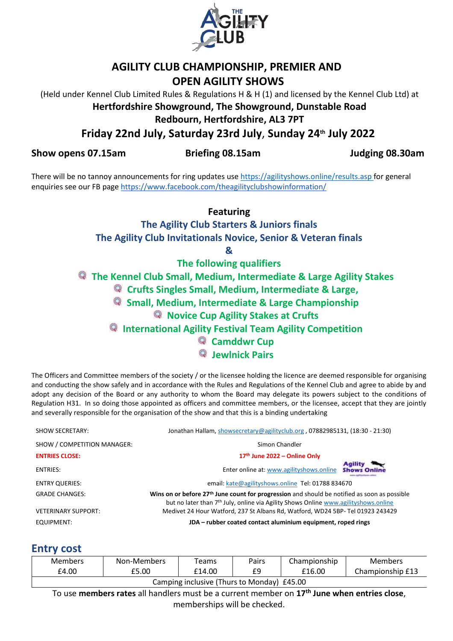

## **AGILITY CLUB CHAMPIONSHIP, PREMIER AND OPEN AGILITY SHOWS**

(Held under Kennel Club Limited Rules & Regulations H & H (1) and licensed by the Kennel Club Ltd) at **Hertfordshire Showground, The Showground, Dunstable Road**

**Redbourn, Hertfordshire, AL3 7PT**

**Friday 22nd July, Saturday 23rd July**, **Sunday 24th July 2022**

**Show opens 07.15am Briefing 08.15am Judging 08.30am**

There will be no tannoy announcements for ring updates use<https://agilityshows.online/results.asp> for general enquiries see our FB pag[e https://www.facebook.com/theagilityclubshowinformation/](https://www.facebook.com/theagilityclubshowinformation/)

**Featuring**

**The Agility Club Starters & Juniors finals The Agility Club Invitationals Novice, Senior & Veteran finals** 

**&**

**The following qualifiers**

**The Kennel Club Small, Medium, Intermediate & Large Agility Stakes** 

**Crufts Singles Small, Medium, Intermediate & Large,** 

**Small, Medium, Intermediate & Large Championship**

## **Novice Cup Agility Stakes at Crufts**

**International Agility Festival Team Agility Competition**

**Camddwr Cup** 

**Jewlnick Pairs**

The Officers and Committee members of the society / or the licensee holding the licence are deemed responsible for organising and conducting the show safely and in accordance with the Rules and Regulations of the Kennel Club and agree to abide by and adopt any decision of the Board or any authority to whom the Board may delegate its powers subject to the conditions of Regulation H31. In so doing those appointed as officers and committee members, or the licensee, accept that they are jointly and severally responsible for the organisation of the show and that this is a binding undertaking

| <b>SHOW SECRETARY:</b>      | Jonathan Hallam, showsecretary@agilityclub.org, 07882985131, (18:30 - 21:30)                                                                                                                                |                                       |
|-----------------------------|-------------------------------------------------------------------------------------------------------------------------------------------------------------------------------------------------------------|---------------------------------------|
| SHOW / COMPETITION MANAGER: | Simon Chandler                                                                                                                                                                                              |                                       |
| <b>ENTRIES CLOSE:</b>       | 17th June 2022 - Online Only                                                                                                                                                                                |                                       |
| <b>ENTRIES:</b>             | Enter online at: www.agilityshows.online                                                                                                                                                                    | <b>Agility</b><br><b>Shows Online</b> |
| <b>ENTRY QUERIES:</b>       | email: kate@agilityshows.online Tel: 01788 834670                                                                                                                                                           |                                       |
| <b>GRADE CHANGES:</b>       | Wins on or before 27 <sup>th</sup> June count for progression and should be notified as soon as possible<br>but no later than 7 <sup>th</sup> July, online via Agility Shows Online www.agilityshows.online |                                       |
| <b>VETERINARY SUPPORT:</b>  | Medivet 24 Hour Watford, 237 St Albans Rd, Watford, WD24 5BP- Tel 01923 243429                                                                                                                              |                                       |
| EQUIPMENT:                  | JDA – rubber coated contact aluminium equipment, roped rings                                                                                                                                                |                                       |

## **Entry cost**

| <b>Members</b>                                                                                          | Non-Members | Teams  | Pairs | Championship | Members          |  |  |
|---------------------------------------------------------------------------------------------------------|-------------|--------|-------|--------------|------------------|--|--|
| £4.00                                                                                                   | £5.00       | £14.00 | £9    | £16.00       | Championship £13 |  |  |
| Camping inclusive (Thurs to Monday) £45.00                                                              |             |        |       |              |                  |  |  |
| To use members rates all handlers must be a current member on 17 <sup>th</sup> June when entries close. |             |        |       |              |                  |  |  |

To use **members rates** all handlers must be a current member on **17th June when entries close**, memberships will be checked.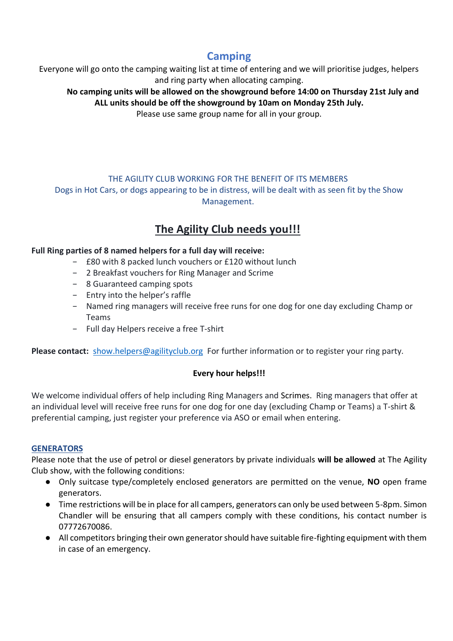## **Camping**

Everyone will go onto the camping waiting list at time of entering and we will prioritise judges, helpers and ring party when allocating camping.

**No camping units will be allowed on the showground before 14:00 on Thursday 21st July and ALL units should be off the showground by 10am on Monday 25th July.**

Please use same group name for all in your group.

## THE AGILITY CLUB WORKING FOR THE BENEFIT OF ITS MEMBERS

Dogs in Hot Cars, or dogs appearing to be in distress, will be dealt with as seen fit by the Show Management.

## **The Agility Club needs you!!!**

## **Full Ring parties of 8 named helpers for a full day will receive:**

- − £80 with 8 packed lunch vouchers or £120 without lunch
- − 2 Breakfast vouchers for Ring Manager and Scrime
- − 8 Guaranteed camping spots
- − Entry into the helper's raffle
- − Named ring managers will receive free runs for one dog for one day excluding Champ or Teams
- − Full day Helpers receive a free T-shirt

Please contact: [show.helpers@agilityclub.org](mailto:show.helpers@agilityclub.org) For further information or to register your ring party.

## **Every hour helps!!!**

We welcome individual offers of help including Ring Managers and Scrimes. Ring managers that offer at an individual level will receive free runs for one dog for one day (excluding Champ or Teams) a T-shirt & preferential camping, just register your preference via ASO or email when entering.

## **GENERATORS**

Please note that the use of petrol or diesel generators by private individuals **will be allowed** at The Agility Club show, with the following conditions:

- Only suitcase type/completely enclosed generators are permitted on the venue, **NO** open frame generators.
- Time restrictions will be in place for all campers, generators can only be used between 5-8pm. Simon Chandler will be ensuring that all campers comply with these conditions, his contact number is 07772670086.
- All competitors bringing their own generator should have suitable fire-fighting equipment with them in case of an emergency.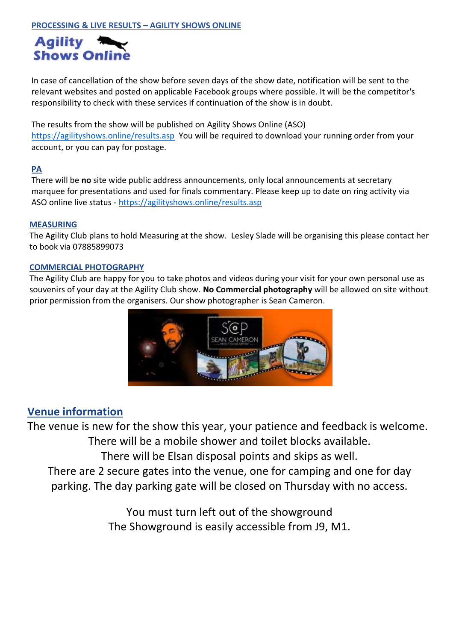

In case of cancellation of the show before seven days of the show date, notification will be sent to the relevant websites and posted on applicable Facebook groups where possible. It will be the competitor's responsibility to check with these services if continuation of the show is in doubt.

The results from the show will be published on Agility Shows Online (ASO) <https://agilityshows.online/results.asp> You will be required to download your running order from your account, or you can pay for postage.

## **PA**

There will be **no** site wide public address announcements, only local announcements at secretary marquee for presentations and used for finals commentary. Please keep up to date on ring activity via ASO online live status - <https://agilityshows.online/results.asp>

## **MEASURING**

The Agility Club plans to hold Measuring at the show. Lesley Slade will be organising this please contact her to book via 07885899073

## **COMMERCIAL PHOTOGRAPHY**

The Agility Club are happy for you to take photos and videos during your visit for your own personal use as souvenirs of your day at the Agility Club show. **No Commercial photography** will be allowed on site without prior permission from the organisers. Our show photographer is Sean Cameron.



## **Venue information**

The venue is new for the show this year, your patience and feedback is welcome. There will be a mobile shower and toilet blocks available. There will be Elsan disposal points and skips as well. There are 2 secure gates into the venue, one for camping and one for day parking. The day parking gate will be closed on Thursday with no access.

> You must turn left out of the showground The Showground is easily accessible from J9, M1.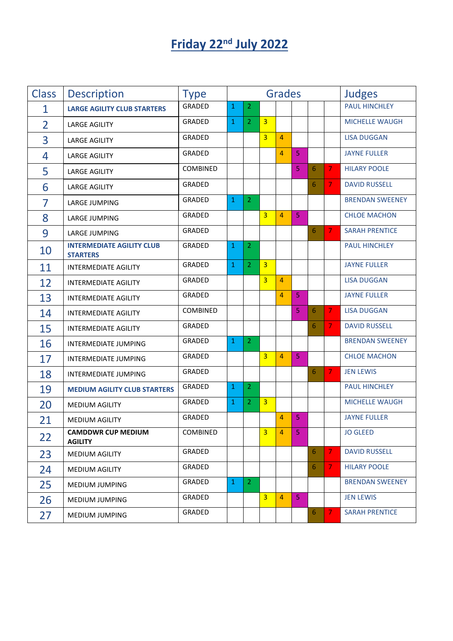# **Friday 22<sup>nd</sup> July 2022**

| <b>Class</b>   | <b>Description</b>                                  | <b>Type</b>     | <b>Grades</b> |                |                |                |                |   |                | <b>Judges</b>          |
|----------------|-----------------------------------------------------|-----------------|---------------|----------------|----------------|----------------|----------------|---|----------------|------------------------|
| $\mathbf 1$    | <b>LARGE AGILITY CLUB STARTERS</b>                  | GRADED          | $\mathbf{1}$  | $\overline{2}$ |                |                |                |   |                | <b>PAUL HINCHLEY</b>   |
| $\overline{2}$ | <b>LARGE AGILITY</b>                                | GRADED          | $\mathbf{1}$  | $\overline{2}$ | $\overline{3}$ |                |                |   |                | <b>MICHELLE WAUGH</b>  |
| 3              | <b>LARGE AGILITY</b>                                | GRADED          |               |                | $\overline{3}$ | $\overline{4}$ |                |   |                | <b>LISA DUGGAN</b>     |
| 4              | <b>LARGE AGILITY</b>                                | GRADED          |               |                |                | 4              | $\overline{5}$ |   |                | <b>JAYNE FULLER</b>    |
| 5              | <b>LARGE AGILITY</b>                                | <b>COMBINED</b> |               |                |                |                | 5              | 6 | $\overline{7}$ | <b>HILARY POOLE</b>    |
| 6              | <b>LARGE AGILITY</b>                                | GRADED          |               |                |                |                |                | 6 | $\overline{7}$ | <b>DAVID RUSSELL</b>   |
| 7              | <b>LARGE JUMPING</b>                                | GRADED          | $\mathbf{1}$  | $\overline{2}$ |                |                |                |   |                | <b>BRENDAN SWEENEY</b> |
| 8              | LARGE JUMPING                                       | GRADED          |               |                | $\overline{3}$ | $\overline{4}$ | $\overline{5}$ |   |                | <b>CHLOE MACHON</b>    |
| 9              | LARGE JUMPING                                       | GRADED          |               |                |                |                |                | 6 | 7              | <b>SARAH PRENTICE</b>  |
| 10             | <b>INTERMEDIATE AGILITY CLUB</b><br><b>STARTERS</b> | GRADED          | $\mathbf{1}$  | $\overline{2}$ |                |                |                |   |                | <b>PAUL HINCHLEY</b>   |
| 11             | <b>INTERMEDIATE AGILITY</b>                         | GRADED          | $\mathbf{1}$  | $\overline{2}$ | $\overline{3}$ |                |                |   |                | <b>JAYNE FULLER</b>    |
| 12             | <b>INTERMEDIATE AGILITY</b>                         | GRADED          |               |                | $\overline{3}$ | $\overline{4}$ |                |   |                | <b>LISA DUGGAN</b>     |
| 13             | <b>INTERMEDIATE AGILITY</b>                         | GRADED          |               |                |                | $\overline{4}$ | $\overline{5}$ |   |                | <b>JAYNE FULLER</b>    |
| 14             | <b>INTERMEDIATE AGILITY</b>                         | COMBINED        |               |                |                |                | 5              | 6 | 7              | <b>LISA DUGGAN</b>     |
| 15             | <b>INTERMEDIATE AGILITY</b>                         | GRADED          |               |                |                |                |                | 6 | 7.             | <b>DAVID RUSSELL</b>   |
| 16             | INTERMEDIATE JUMPING                                | GRADED          | $\mathbf{1}$  | $\overline{2}$ |                |                |                |   |                | <b>BRENDAN SWEENEY</b> |
| 17             | INTERMEDIATE JUMPING                                | GRADED          |               |                | $\overline{3}$ | $\overline{4}$ | 5              |   |                | <b>CHLOE MACHON</b>    |
| 18             | <b>INTERMEDIATE JUMPING</b>                         | GRADED          |               |                |                |                |                | 6 | $\overline{7}$ | <b>JEN LEWIS</b>       |
| 19             | <b>MEDIUM AGILITY CLUB STARTERS</b>                 | GRADED          | $\mathbf{1}$  | $\overline{2}$ |                |                |                |   |                | PAUL HINCHLEY          |
| 20             | MEDIUM AGILITY                                      | GRADED          | $\mathbf{1}$  | $\overline{2}$ | $\overline{3}$ |                |                |   |                | MICHELLE WAUGH         |
| 21             | <b>MEDIUM AGILITY</b>                               | GRADED          |               |                |                | 4              | 5              |   |                | <b>JAYNE FULLER</b>    |
| 22             | <b>CAMDDWR CUP MEDIUM</b><br><b>AGILITY</b>         | COMBINED        |               |                | $\overline{3}$ | 4              | 5              |   |                | <b>JO GLEED</b>        |
| 23             | MEDIUM AGILITY                                      | GRADED          |               |                |                |                |                | 6 | $\overline{7}$ | <b>DAVID RUSSELL</b>   |
| 24             | <b>MEDIUM AGILITY</b>                               | GRADED          |               |                |                |                |                | 6 | 7.             | <b>HILARY POOLE</b>    |
| 25             | MEDIUM JUMPING                                      | GRADED          | $\mathbf{1}$  | $\mathbf{2}$   |                |                |                |   |                | <b>BRENDAN SWEENEY</b> |
| 26             | <b>MEDIUM JUMPING</b>                               | GRADED          |               |                | 3 <sup>1</sup> | $\overline{4}$ | 5 <sub>1</sub> |   |                | <b>JEN LEWIS</b>       |
| 27             | MEDIUM JUMPING                                      | GRADED          |               |                |                |                |                | 6 | 7.             | <b>SARAH PRENTICE</b>  |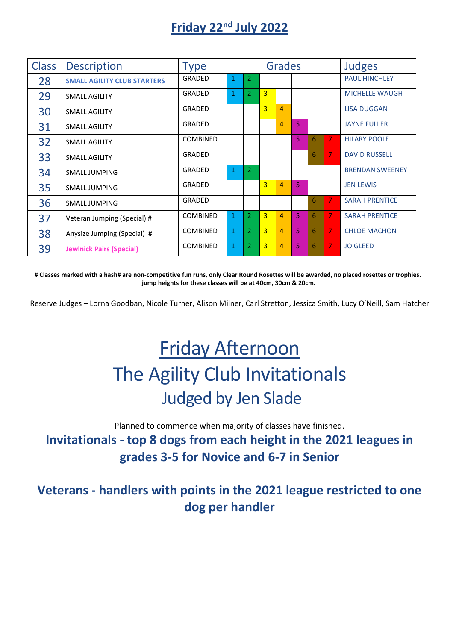# **Friday 22nd July 2022**

| <b>Class</b> | <b>Description</b>                 | <b>Type</b>     | <b>Grades</b> |                |                |                |    |   | <b>Judges</b> |                        |
|--------------|------------------------------------|-----------------|---------------|----------------|----------------|----------------|----|---|---------------|------------------------|
| 28           | <b>SMALL AGILITY CLUB STARTERS</b> | <b>GRADED</b>   | 1             | 2.             |                |                |    |   |               | <b>PAUL HINCHLEY</b>   |
| 29           | <b>SMALL AGILITY</b>               | GRADED          | $\mathbf{1}$  | $\overline{2}$ | $\overline{3}$ |                |    |   |               | <b>MICHELLE WAUGH</b>  |
| 30           | <b>SMALL AGILITY</b>               | <b>GRADED</b>   |               |                | $\overline{3}$ | $\overline{4}$ |    |   |               | <b>LISA DUGGAN</b>     |
| 31           | <b>SMALL AGILITY</b>               | GRADED          |               |                |                | $\overline{4}$ | 5  |   |               | <b>JAYNE FULLER</b>    |
| 32           | <b>SMALL AGILITY</b>               | <b>COMBINED</b> |               |                |                |                | 5. | 6 | 7             | <b>HILARY POOLE</b>    |
| 33           | <b>SMALL AGILITY</b>               | GRADED          |               |                |                |                |    | 6 | 7             | <b>DAVID RUSSELL</b>   |
| 34           | SMALL JUMPING                      | GRADED          | $\mathbf{1}$  | $\overline{2}$ |                |                |    |   |               | <b>BRENDAN SWEENEY</b> |
| 35           | <b>SMALL JUMPING</b>               | GRADED          |               |                | $\overline{3}$ | $\overline{a}$ | 5  |   |               | <b>JEN LEWIS</b>       |
| 36           | <b>SMALL JUMPING</b>               | GRADED          |               |                |                |                |    | 6 | 7             | <b>SARAH PRENTICE</b>  |
| 37           | Veteran Jumping (Special) #        | <b>COMBINED</b> | $\mathbf{1}$  | $\overline{2}$ | $\overline{3}$ | $\overline{4}$ | 5. | 6 | 7             | <b>SARAH PRENTICE</b>  |
| 38           | Anysize Jumping (Special) #        | <b>COMBINED</b> | $\mathbf{1}$  | $\overline{2}$ | $\overline{3}$ | 4              | 5  | 6 | 7             | <b>CHLOE MACHON</b>    |
| 39           | <b>Jewlnick Pairs (Special)</b>    | <b>COMBINED</b> | $\mathbf{1}$  | 2              | $\overline{3}$ | 4              | 5  | 6 | 7             | <b>JO GLEED</b>        |

**# Classes marked with a hash# are non-competitive fun runs, only Clear Round Rosettes will be awarded, no placed rosettes or trophies. jump heights for these classes will be at 40cm, 30cm & 20cm.**

Reserve Judges – Lorna Goodban, Nicole Turner, Alison Milner, Carl Stretton, Jessica Smith, Lucy O'Neill, Sam Hatcher

# Friday Afternoon The Agility Club Invitationals Judged by Jen Slade

Planned to commence when majority of classes have finished. **Invitationals - top 8 dogs from each height in the 2021 leagues in grades 3-5 for Novice and 6-7 in Senior**

**Veterans - handlers with points in the 2021 league restricted to one dog per handler**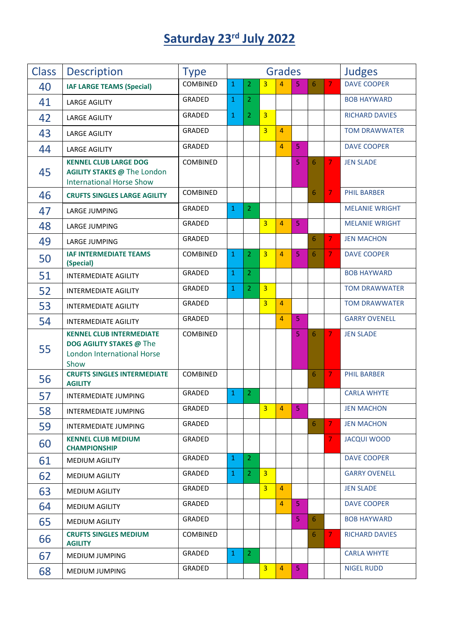# **Saturday 23 rd July 2022**

| <b>Class</b> | <b>Description</b>                                                                                              | <b>Type</b>   | <b>Grades</b> |                |                |                |                |   | <b>Judges</b>  |                       |
|--------------|-----------------------------------------------------------------------------------------------------------------|---------------|---------------|----------------|----------------|----------------|----------------|---|----------------|-----------------------|
| 40           | <b>IAF LARGE TEAMS (Special)</b>                                                                                | COMBINED      | $\mathbf{1}$  | $\overline{2}$ | $\overline{3}$ | 4              | 5              | 6 | $\overline{7}$ | <b>DAVE COOPER</b>    |
| 41           | <b>LARGE AGILITY</b>                                                                                            | <b>GRADED</b> | $\mathbf{1}$  | $\overline{2}$ |                |                |                |   |                | <b>BOB HAYWARD</b>    |
| 42           | <b>LARGE AGILITY</b>                                                                                            | GRADED        | $\mathbf{1}$  | $\overline{2}$ | $\overline{3}$ |                |                |   |                | <b>RICHARD DAVIES</b> |
| 43           | <b>LARGE AGILITY</b>                                                                                            | GRADED        |               |                | $\overline{3}$ | $\overline{4}$ |                |   |                | <b>TOM DRAWWATER</b>  |
| 44           | <b>LARGE AGILITY</b>                                                                                            | <b>GRADED</b> |               |                |                | $\overline{4}$ | 5              |   |                | <b>DAVE COOPER</b>    |
| 45           | <b>KENNEL CLUB LARGE DOG</b><br><b>AGILITY STAKES @ The London</b><br><b>International Horse Show</b>           | COMBINED      |               |                |                |                | 5              | 6 | 7              | <b>JEN SLADE</b>      |
| 46           | <b>CRUFTS SINGLES LARGE AGILITY</b>                                                                             | COMBINED      |               |                |                |                |                | 6 | 7.             | <b>PHIL BARBER</b>    |
| 47           | LARGE JUMPING                                                                                                   | GRADED        | $\mathbf{1}$  | $\overline{2}$ |                |                |                |   |                | <b>MELANIE WRIGHT</b> |
| 48           | LARGE JUMPING                                                                                                   | GRADED        |               |                | $\overline{3}$ | $\overline{4}$ | $\overline{5}$ |   |                | <b>MELANIE WRIGHT</b> |
| 49           | LARGE JUMPING                                                                                                   | GRADED        |               |                |                |                |                | 6 | $\overline{7}$ | <b>JEN MACHON</b>     |
| 50           | <b>IAF INTERMEDIATE TEAMS</b><br>(Special)                                                                      | COMBINED      | $\mathbf{1}$  | $\overline{2}$ | $\overline{3}$ | $\overline{4}$ | 5              | 6 | $\overline{7}$ | <b>DAVE COOPER</b>    |
| 51           | <b>INTERMEDIATE AGILITY</b>                                                                                     | GRADED        | $\mathbf{1}$  | $\overline{2}$ |                |                |                |   |                | <b>BOB HAYWARD</b>    |
| 52           | <b>INTERMEDIATE AGILITY</b>                                                                                     | GRADED        | $\mathbf{1}$  | $\overline{2}$ | $\overline{3}$ |                |                |   |                | <b>TOM DRAWWATER</b>  |
| 53           | <b>INTERMEDIATE AGILITY</b>                                                                                     | GRADED        |               |                | $\overline{3}$ | $\overline{4}$ |                |   |                | <b>TOM DRAWWATER</b>  |
| 54           | <b>INTERMEDIATE AGILITY</b>                                                                                     | GRADED        |               |                |                | $\overline{4}$ | $\overline{5}$ |   |                | <b>GARRY OVENELL</b>  |
| 55           | <b>KENNEL CLUB INTERMEDIATE</b><br><b>DOG AGILITY STAKES @ The</b><br><b>London International Horse</b><br>Show | COMBINED      |               |                |                |                | 5              | 6 | 7              | <b>JEN SLADE</b>      |
| 56           | <b>CRUFTS SINGLES INTERMEDIATE</b><br><b>AGILITY</b>                                                            | COMBINED      |               |                |                |                |                | 6 | 7.             | <b>PHIL BARBER</b>    |
| 57           | INTERMEDIATE JUMPING                                                                                            | GRADED        | $\mathbf{1}$  | $\overline{2}$ |                |                |                |   |                | <b>CARLA WHYTE</b>    |
| 58           | <b>INTERMEDIATE JUMPING</b>                                                                                     | GRADED        |               |                | $\overline{3}$ | 4              | 5              |   |                | <b>JEN MACHON</b>     |
| 59           | INTERMEDIATE JUMPING                                                                                            | GRADED        |               |                |                |                |                | 6 | 7.             | <b>JEN MACHON</b>     |
| 60           | <b>KENNEL CLUB MEDIUM</b><br><b>CHAMPIONSHIP</b>                                                                | GRADED        |               |                |                |                |                |   | 7.             | <b>JACQUI WOOD</b>    |
| 61           | <b>MEDIUM AGILITY</b>                                                                                           | GRADED        | $\mathbf{1}$  | $\overline{2}$ |                |                |                |   |                | <b>DAVE COOPER</b>    |
| 62           | <b>MEDIUM AGILITY</b>                                                                                           | GRADED        | $\mathbf{1}$  | $\overline{2}$ | $\overline{3}$ |                |                |   |                | <b>GARRY OVENELL</b>  |
| 63           | MEDIUM AGILITY                                                                                                  | GRADED        |               |                | 3 <sup>2</sup> | $\overline{4}$ |                |   |                | <b>JEN SLADE</b>      |
| 64           | MEDIUM AGILITY                                                                                                  | GRADED        |               |                |                | $\overline{4}$ | 5              |   |                | <b>DAVE COOPER</b>    |
| 65           | <b>MEDIUM AGILITY</b>                                                                                           | GRADED        |               |                |                |                | 5 <sub>1</sub> | 6 |                | <b>BOB HAYWARD</b>    |
| 66           | <b>CRUFTS SINGLES MEDIUM</b><br><b>AGILITY</b>                                                                  | COMBINED      |               |                |                |                |                | 6 | 7.             | <b>RICHARD DAVIES</b> |
| 67           | MEDIUM JUMPING                                                                                                  | GRADED        | $\mathbf{1}$  | $\overline{2}$ |                |                |                |   |                | <b>CARLA WHYTE</b>    |
| 68           | MEDIUM JUMPING                                                                                                  | GRADED        |               |                | $\overline{3}$ | $\overline{4}$ | 5 <sub>1</sub> |   |                | <b>NIGEL RUDD</b>     |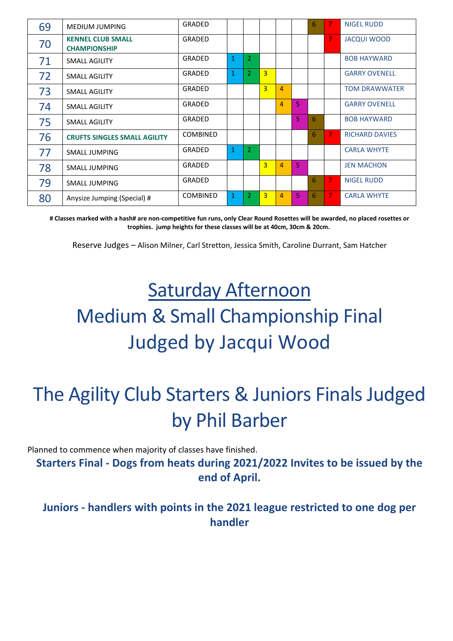| 69 | MEDIUM JUMPING                                  | GRADED          |              |                |                |                |                | 6 | 7 | <b>NIGEL RUDD</b>     |
|----|-------------------------------------------------|-----------------|--------------|----------------|----------------|----------------|----------------|---|---|-----------------------|
| 70 | <b>KENNEL CLUB SMALL</b><br><b>CHAMPIONSHIP</b> | GRADED          |              |                |                |                |                |   | 7 | <b>JACQUI WOOD</b>    |
| 71 | SMALL AGILITY                                   | GRADED          | $\mathbf{1}$ | $\overline{2}$ |                |                |                |   |   | <b>BOB HAYWARD</b>    |
| 72 | SMALL AGILITY                                   | GRADED          | $\mathbf{1}$ | $\overline{2}$ | $\overline{3}$ |                |                |   |   | <b>GARRY OVENELL</b>  |
| 73 | SMALL AGILITY                                   | GRADED          |              |                | $\overline{3}$ | $\overline{4}$ |                |   |   | <b>TOM DRAWWATER</b>  |
| 74 | SMALL AGILITY                                   | GRADED          |              |                |                | $\overline{4}$ | 5              |   |   | <b>GARRY OVENELL</b>  |
| 75 | SMALL AGILITY                                   | GRADED          |              |                |                |                | 5.             | 6 |   | <b>BOB HAYWARD</b>    |
| 76 | <b>CRUFTS SINGLES SMALL AGILITY</b>             | <b>COMBINED</b> |              |                |                |                |                | 6 | 7 | <b>RICHARD DAVIES</b> |
| 77 | SMALL JUMPING                                   | GRADED          | $\mathbf{1}$ | 2              |                |                |                |   |   | <b>CARLA WHYTE</b>    |
| 78 | <b>SMALL JUMPING</b>                            | GRADED          |              |                | $\overline{3}$ | $\overline{4}$ | $\overline{5}$ |   |   | <b>JEN MACHON</b>     |
| 79 | <b>SMALL JUMPING</b>                            | GRADED          |              |                |                |                |                | 6 | 7 | <b>NIGEL RUDD</b>     |
| 80 | Anysize Jumping (Special) #                     | <b>COMBINED</b> | 1            | 2              | 3              | 4              | 5              | 6 | 7 | <b>CARLA WHYTE</b>    |

**# Classes marked with a hash# are non-competitive fun runs, only Clear Round Rosettes will be awarded, no placed rosettes or trophies. jump heights for these classes will be at 40cm, 30cm & 20cm.**

Reserve Judges – Alison Milner, Carl Stretton, Jessica Smith, Caroline Durrant, Sam Hatcher

# Saturday Afternoon Medium & Small Championship Final Judged by Jacqui Wood

# The Agility Club Starters & Juniors Finals Judged by Phil Barber

Planned to commence when majority of classes have finished.

**Starters Final - Dogs from heats during 2021/2022 Invites to be issued by the end of April.**

**Juniors - handlers with points in the 2021 league restricted to one dog per handler**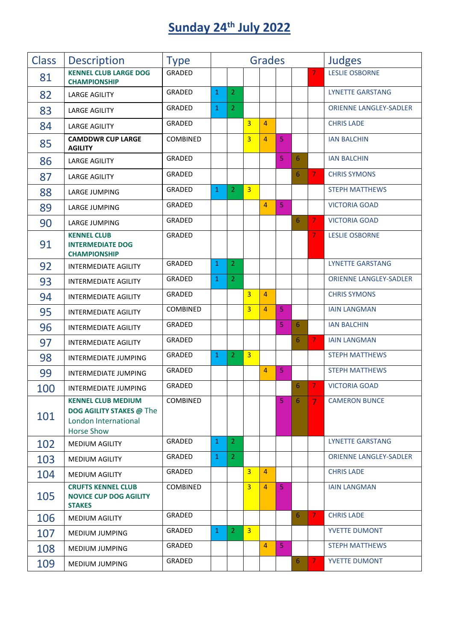# **Sunday 24 th July 2022**

| <b>Class</b> | <b>Description</b>                                                                                        | <b>Type</b>     |              |                      |                | <b>Grades</b>  |   |   |                | <b>Judges</b>                 |
|--------------|-----------------------------------------------------------------------------------------------------------|-----------------|--------------|----------------------|----------------|----------------|---|---|----------------|-------------------------------|
| 81           | <b>KENNEL CLUB LARGE DOG</b><br><b>CHAMPIONSHIP</b>                                                       | <b>GRADED</b>   |              |                      |                |                |   |   | 7              | <b>LESLIE OSBORNE</b>         |
| 82           | <b>LARGE AGILITY</b>                                                                                      | <b>GRADED</b>   | 1            | 2                    |                |                |   |   |                | <b>LYNETTE GARSTANG</b>       |
| 83           | <b>LARGE AGILITY</b>                                                                                      | <b>GRADED</b>   | $\mathbf{1}$ | 2                    |                |                |   |   |                | <b>ORIENNE LANGLEY-SADLER</b> |
| 84           | <b>LARGE AGILITY</b>                                                                                      | GRADED          |              |                      | 3              | $\overline{4}$ |   |   |                | <b>CHRIS LADE</b>             |
| 85           | <b>CAMDDWR CUP LARGE</b><br><b>AGILITY</b>                                                                | COMBINED        |              |                      | 3              | 4              | 5 |   |                | <b>IAN BALCHIN</b>            |
| 86           | <b>LARGE AGILITY</b>                                                                                      | <b>GRADED</b>   |              |                      |                |                | 5 | 6 |                | <b>IAN BALCHIN</b>            |
| 87           | <b>LARGE AGILITY</b>                                                                                      | GRADED          |              |                      |                |                |   | 6 | $\overline{7}$ | <b>CHRIS SYMONS</b>           |
| 88           | LARGE JUMPING                                                                                             | <b>GRADED</b>   | $\mathbf{1}$ | $\overline{2}$       | $\overline{3}$ |                |   |   |                | <b>STEPH MATTHEWS</b>         |
| 89           | LARGE JUMPING                                                                                             | GRADED          |              |                      |                | 4              | 5 |   |                | <b>VICTORIA GOAD</b>          |
| 90           | LARGE JUMPING                                                                                             | GRADED          |              |                      |                |                |   | 6 | 7              | <b>VICTORIA GOAD</b>          |
| 91           | <b>KENNEL CLUB</b><br><b>INTERMEDIATE DOG</b><br><b>CHAMPIONSHIP</b>                                      | GRADED          |              |                      |                |                |   |   | 7              | <b>LESLIE OSBORNE</b>         |
| 92           | <b>INTERMEDIATE AGILITY</b>                                                                               | <b>GRADED</b>   | 1            | 2                    |                |                |   |   |                | <b>LYNETTE GARSTANG</b>       |
| 93           | <b>INTERMEDIATE AGILITY</b>                                                                               | GRADED          | $\mathbf{1}$ | $\overline{2}$       |                |                |   |   |                | <b>ORIENNE LANGLEY-SADLER</b> |
| 94           | <b>INTERMEDIATE AGILITY</b>                                                                               | GRADED          |              |                      | 3              | $\overline{4}$ |   |   |                | <b>CHRIS SYMONS</b>           |
| 95           | <b>INTERMEDIATE AGILITY</b>                                                                               | <b>COMBINED</b> |              |                      | 3              | $\overline{4}$ | 5 |   |                | <b>IAIN LANGMAN</b>           |
| 96           | <b>INTERMEDIATE AGILITY</b>                                                                               | GRADED          |              |                      |                |                | 5 | 6 |                | <b>IAN BALCHIN</b>            |
| 97           | <b>INTERMEDIATE AGILITY</b>                                                                               | GRADED          |              |                      |                |                |   | 6 | 7              | <b>IAIN LANGMAN</b>           |
| 98           | INTERMEDIATE JUMPING                                                                                      | <b>GRADED</b>   | $\mathbf{1}$ | 2                    | 3              |                |   |   |                | <b>STEPH MATTHEWS</b>         |
| 99           | <b>INTERMEDIATE JUMPING</b>                                                                               | GRADED          |              |                      |                | $\overline{4}$ | 5 |   |                | <b>STEPH MATTHEWS</b>         |
| 100          | <b>INTERMEDIATE JUMPING</b>                                                                               | <b>GRADED</b>   |              |                      |                |                |   | 6 | 7              | <b>VICTORIA GOAD</b>          |
| 101          | <b>KENNEL CLUB MEDIUM</b><br><b>DOG AGILITY STAKES @ The</b><br>London International<br><b>Horse Show</b> | COMBINED        |              |                      |                |                | 5 | 6 | 7              | <b>CAMERON BUNCE</b>          |
| 102          | <b>MEDIUM AGILITY</b>                                                                                     | GRADED          | $\mathbf{1}$ | $\overline{2}$       |                |                |   |   |                | <b>LYNETTE GARSTANG</b>       |
| 103          | MEDIUM AGILITY                                                                                            | GRADED          | $\mathbf{1}$ | $\mathbf{2}^{\circ}$ |                |                |   |   |                | <b>ORIENNE LANGLEY-SADLER</b> |
| 104          | MEDIUM AGILITY                                                                                            | GRADED          |              |                      | $\overline{3}$ | $\overline{4}$ |   |   |                | <b>CHRIS LADE</b>             |
| 105          | <b>CRUFTS KENNEL CLUB</b><br><b>NOVICE CUP DOG AGILITY</b><br><b>STAKES</b>                               | COMBINED        |              |                      | $\overline{3}$ | 4              | 5 |   |                | <b>IAIN LANGMAN</b>           |
| 106          | <b>MEDIUM AGILITY</b>                                                                                     | GRADED          |              |                      |                |                |   | 6 | $\overline{7}$ | <b>CHRIS LADE</b>             |
| 107          | MEDIUM JUMPING                                                                                            | GRADED          | $\mathbf{1}$ | $\mathbf{2}^{\circ}$ | $\overline{3}$ |                |   |   |                | YVETTE DUMONT                 |
| 108          | MEDIUM JUMPING                                                                                            | GRADED          |              |                      |                | $\overline{4}$ | 5 |   |                | <b>STEPH MATTHEWS</b>         |
| 109          | MEDIUM JUMPING                                                                                            | GRADED          |              |                      |                |                |   | 6 | $\overline{7}$ | YVETTE DUMONT                 |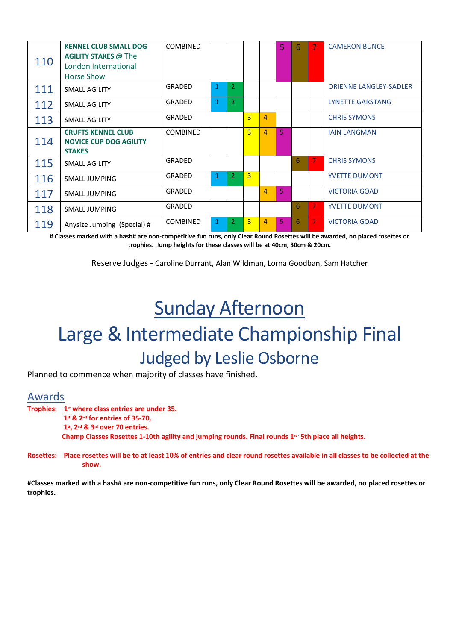| 110 | <b>KENNEL CLUB SMALL DOG</b><br><b>AGILITY STAKES @ The</b><br>London International<br>Horse Show | <b>COMBINED</b> |              |                |                |                | 5  | 6 |   | <b>CAMERON BUNCE</b>          |
|-----|---------------------------------------------------------------------------------------------------|-----------------|--------------|----------------|----------------|----------------|----|---|---|-------------------------------|
| 111 | SMALL AGILITY                                                                                     | GRADED          | $\mathbf{1}$ | $\overline{2}$ |                |                |    |   |   | <b>ORIENNE LANGLEY-SADLER</b> |
| 112 | SMALL AGILITY                                                                                     | GRADED          | $\mathbf{1}$ | $\overline{2}$ |                |                |    |   |   | <b>LYNETTE GARSTANG</b>       |
| 113 | <b>SMALL AGILITY</b>                                                                              | GRADED          |              |                | $\overline{3}$ | $\overline{4}$ |    |   |   | <b>CHRIS SYMONS</b>           |
| 114 | <b>CRUFTS KENNEL CLUB</b><br><b>NOVICE CUP DOG AGILITY</b><br><b>STAKES</b>                       | <b>COMBINED</b> |              |                | $\overline{3}$ | $\overline{4}$ | 5  |   |   | <b>IAIN LANGMAN</b>           |
| 115 | SMALL AGILITY                                                                                     | GRADED          |              |                |                |                |    | 6 | 7 | <b>CHRIS SYMONS</b>           |
| 116 | <b>SMALL JUMPING</b>                                                                              | GRADED          | $\mathbf{1}$ | $\overline{2}$ | $\overline{3}$ |                |    |   |   | <b>YVETTE DUMONT</b>          |
| 117 | <b>SMALL JUMPING</b>                                                                              | GRADED          |              |                |                | 4              | 5  |   |   | <b>VICTORIA GOAD</b>          |
| 118 | <b>SMALL JUMPING</b>                                                                              | <b>GRADED</b>   |              |                |                |                |    | 6 | 7 | <b>YVETTE DUMONT</b>          |
| 119 | Anysize Jumping (Special) #                                                                       | <b>COMBINED</b> | $\mathbf{1}$ | 2              | 3              | 4              | 5. | 6 | 7 | <b>VICTORIA GOAD</b>          |

**# Classes marked with a hash# are non-competitive fun runs, only Clear Round Rosettes will be awarded, no placed rosettes or trophies.** J**ump heights for these classes will be at 40cm, 30cm & 20cm.**

Reserve Judges - Caroline Durrant, Alan Wildman, Lorna Goodban, Sam Hatcher

# Sunday Afternoon

# Large & Intermediate Championship Final Judged by Leslie Osborne

Planned to commence when majority of classes have finished.

## Awards

**Trophies: 1st where class entries are under 35. 1st & 2nd for entries of 35-70, 1st, 2nd & 3rd over 70 entries. Champ Classes Rosettes 1-10th agility and jumping rounds. Final rounds 1st - 5th place all heights.** 

**Rosettes: Place rosettes will be to at least 10% of entries and clear round rosettes available in all classes to be collected at the show.**

**#Classes marked with a hash# are non-competitive fun runs, only Clear Round Rosettes will be awarded, no placed rosettes or trophies.**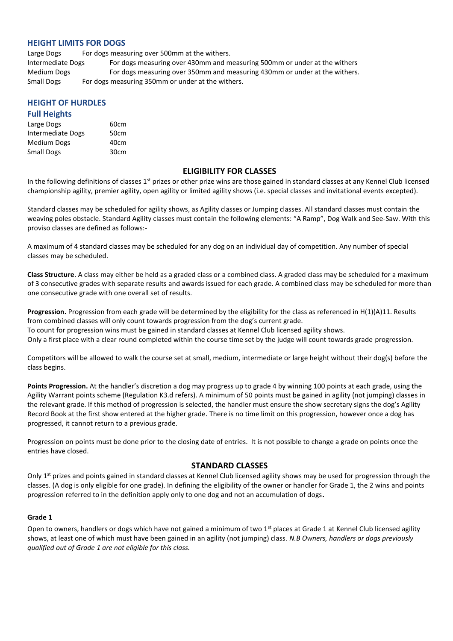### **HEIGHT LIMITS FOR DOGS**

Large Dogs For dogs measuring over 500mm at the withers. Intermediate Dogs For dogs measuring over 430mm and measuring 500mm or under at the withers Medium Dogs For dogs measuring over 350mm and measuring 430mm or under at the withers. Small Dogs For dogs measuring 350mm or under at the withers.

## **HEIGHT OF HURDLES**

#### **Full Heights**

| Large Dogs               | 60cm |
|--------------------------|------|
| <b>Intermediate Dogs</b> | 50cm |
| <b>Medium Dogs</b>       | 40cm |
| <b>Small Dogs</b>        | 30cm |

#### **ELIGIBILITY FOR CLASSES**

In the following definitions of classes 1<sup>st</sup> prizes or other prize wins are those gained in standard classes at any Kennel Club licensed championship agility, premier agility, open agility or limited agility shows (i.e. special classes and invitational events excepted).

Standard classes may be scheduled for agility shows, as Agility classes or Jumping classes. All standard classes must contain the weaving poles obstacle. Standard Agility classes must contain the following elements: "A Ramp", Dog Walk and See-Saw. With this proviso classes are defined as follows:-

A maximum of 4 standard classes may be scheduled for any dog on an individual day of competition. Any number of special classes may be scheduled.

**Class Structure**. A class may either be held as a graded class or a combined class. A graded class may be scheduled for a maximum of 3 consecutive grades with separate results and awards issued for each grade. A combined class may be scheduled for more than one consecutive grade with one overall set of results.

**Progression.** Progression from each grade will be determined by the eligibility for the class as referenced in H(1)(A)11. Results from combined classes will only count towards progression from the dog's current grade. To count for progression wins must be gained in standard classes at Kennel Club licensed agility shows. Only a first place with a clear round completed within the course time set by the judge will count towards grade progression.

Competitors will be allowed to walk the course set at small, medium, intermediate or large height without their dog(s) before the class begins.

**Points Progression.** At the handler's discretion a dog may progress up to grade 4 by winning 100 points at each grade, using the Agility Warrant points scheme (Regulation K3.d refers). A minimum of 50 points must be gained in agility (not jumping) classes in the relevant grade. If this method of progression is selected, the handler must ensure the show secretary signs the dog's Agility Record Book at the first show entered at the higher grade. There is no time limit on this progression, however once a dog has progressed, it cannot return to a previous grade.

Progression on points must be done prior to the closing date of entries. It is not possible to change a grade on points once the entries have closed.

### **STANDARD CLASSES**

Only 1<sup>st</sup> prizes and points gained in standard classes at Kennel Club licensed agility shows may be used for progression through the classes. (A dog is only eligible for one grade). In defining the eligibility of the owner or handler for Grade 1, the 2 wins and points progression referred to in the definition apply only to one dog and not an accumulation of dogs**.** 

#### **Grade 1**

Open to owners, handlers or dogs which have not gained a minimum of two 1<sup>st</sup> places at Grade 1 at Kennel Club licensed agility shows, at least one of which must have been gained in an agility (not jumping) class. *N.B Owners, handlers or dogs previously qualified out of Grade 1 are not eligible for this class.*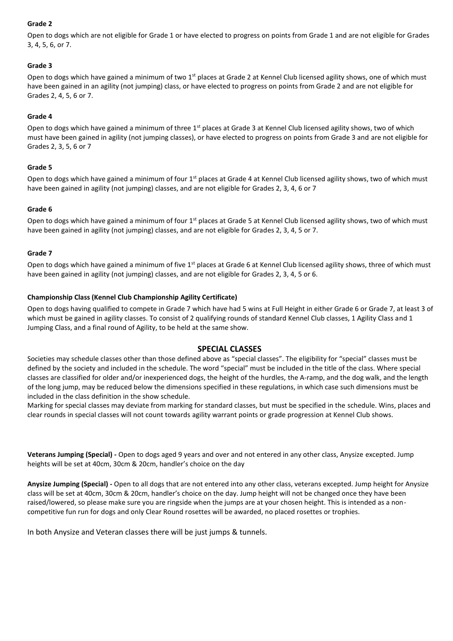#### **Grade 2**

Open to dogs which are not eligible for Grade 1 or have elected to progress on points from Grade 1 and are not eligible for Grades 3, 4, 5, 6, or 7.

## **Grade 3**

Open to dogs which have gained a minimum of two  $1<sup>st</sup>$  places at Grade 2 at Kennel Club licensed agility shows, one of which must have been gained in an agility (not jumping) class, or have elected to progress on points from Grade 2 and are not eligible for Grades 2, 4, 5, 6 or 7.

### **Grade 4**

Open to dogs which have gained a minimum of three 1<sup>st</sup> places at Grade 3 at Kennel Club licensed agility shows, two of which must have been gained in agility (not jumping classes), or have elected to progress on points from Grade 3 and are not eligible for Grades 2, 3, 5, 6 or 7

### **Grade 5**

Open to dogs which have gained a minimum of four  $1<sup>st</sup>$  places at Grade 4 at Kennel Club licensed agility shows, two of which must have been gained in agility (not jumping) classes, and are not eligible for Grades 2, 3, 4, 6 or 7

#### **Grade 6**

Open to dogs which have gained a minimum of four 1<sup>st</sup> places at Grade 5 at Kennel Club licensed agility shows, two of which must have been gained in agility (not jumping) classes, and are not eligible for Grades 2, 3, 4, 5 or 7.

#### **Grade 7**

Open to dogs which have gained a minimum of five  $1<sup>st</sup>$  places at Grade 6 at Kennel Club licensed agility shows, three of which must have been gained in agility (not jumping) classes, and are not eligible for Grades 2, 3, 4, 5 or 6.

#### **Championship Class (Kennel Club Championship Agility Certificate)**

Open to dogs having qualified to compete in Grade 7 which have had 5 wins at Full Height in either Grade 6 or Grade 7, at least 3 of which must be gained in agility classes. To consist of 2 qualifying rounds of standard Kennel Club classes, 1 Agility Class and 1 Jumping Class, and a final round of Agility, to be held at the same show.

### **SPECIAL CLASSES**

Societies may schedule classes other than those defined above as "special classes". The eligibility for "special" classes must be defined by the society and included in the schedule. The word "special" must be included in the title of the class. Where special classes are classified for older and/or inexperienced dogs, the height of the hurdles, the A-ramp, and the dog walk, and the length of the long jump, may be reduced below the dimensions specified in these regulations, in which case such dimensions must be included in the class definition in the show schedule.

Marking for special classes may deviate from marking for standard classes, but must be specified in the schedule. Wins, places and clear rounds in special classes will not count towards agility warrant points or grade progression at Kennel Club shows.

**Veterans Jumping (Special) -** Open to dogs aged 9 years and over and not entered in any other class, Anysize excepted. Jump heights will be set at 40cm, 30cm & 20cm, handler's choice on the day

**Anysize Jumping (Special) -** Open to all dogs that are not entered into any other class, veterans excepted. Jump height for Anysize class will be set at 40cm, 30cm & 20cm, handler's choice on the day. Jump height will not be changed once they have been raised/lowered, so please make sure you are ringside when the jumps are at your chosen height. This is intended as a noncompetitive fun run for dogs and only Clear Round rosettes will be awarded, no placed rosettes or trophies.

In both Anysize and Veteran classes there will be just jumps & tunnels.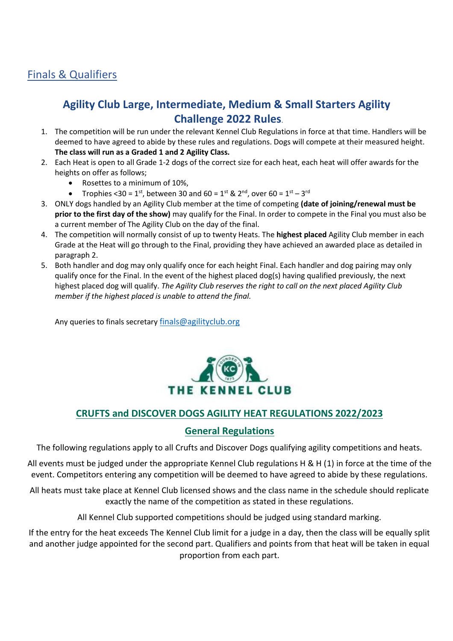## Finals & Qualifiers

## **Agility Club Large, Intermediate, Medium & Small Starters Agility Challenge 2022 Rules**.

- 1. The competition will be run under the relevant Kennel Club Regulations in force at that time. Handlers will be deemed to have agreed to abide by these rules and regulations. Dogs will compete at their measured height. **The class will run as a Graded 1 and 2 Agility Class.**
- 2. Each Heat is open to all Grade 1-2 dogs of the correct size for each heat, each heat will offer awards for the heights on offer as follows;
	- Rosettes to a minimum of 10%,
	- Trophies <30 =  $1^{st}$ , between 30 and 60 =  $1^{st}$  &  $2^{nd}$ , over 60 =  $1^{st}$   $3^{rd}$
- 3. ONLY dogs handled by an Agility Club member at the time of competing **(date of joining/renewal must be prior to the first day of the show)** may qualify for the Final. In order to compete in the Final you must also be a current member of The Agility Club on the day of the final.
- 4. The competition will normally consist of up to twenty Heats. The **highest placed** Agility Club member in each Grade at the Heat will go through to the Final, providing they have achieved an awarded place as detailed in paragraph 2.
- 5. Both handler and dog may only qualify once for each height Final. Each handler and dog pairing may only qualify once for the Final. In the event of the highest placed dog(s) having qualified previously, the next highest placed dog will qualify. *The Agility Club reserves the right to call on the next placed Agility Club member if the highest placed is unable to attend the final.*

Any queries to finals secretary [finals@agilityclub.org](mailto:finals@agilityclub.org)



## **CRUFTS and DISCOVER DOGS AGILITY HEAT REGULATIONS 2022/2023**

## **General Regulations**

The following regulations apply to all Crufts and Discover Dogs qualifying agility competitions and heats.

All events must be judged under the appropriate Kennel Club regulations H & H (1) in force at the time of the event. Competitors entering any competition will be deemed to have agreed to abide by these regulations.

All heats must take place at Kennel Club licensed shows and the class name in the schedule should replicate exactly the name of the competition as stated in these regulations.

All Kennel Club supported competitions should be judged using standard marking.

If the entry for the heat exceeds The Kennel Club limit for a judge in a day, then the class will be equally split and another judge appointed for the second part. Qualifiers and points from that heat will be taken in equal proportion from each part.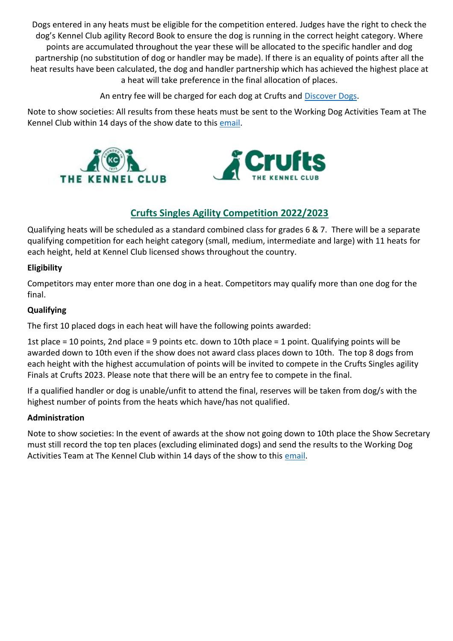Dogs entered in any heats must be eligible for the competition entered. Judges have the right to check the dog's Kennel Club agility Record Book to ensure the dog is running in the correct height category. Where points are accumulated throughout the year these will be allocated to the specific handler and dog partnership (no substitution of dog or handler may be made). If there is an equality of points after all the heat results have been calculated, the dog and handler partnership which has achieved the highest place at a heat will take preference in the final allocation of places.

An entry fee will be charged for each dog at Crufts and [Discover Dogs.](https://www.discoverdogs.org.uk/)

Note to show societies: All results from these heats must be sent to the Working Dog Activities Team at The Kennel Club within 14 days of the show date to this [email.](http://agility@thekennelclub.org.uk)



## **Crufts Singles Agility Competition 2022/2023**

Qualifying heats will be scheduled as a standard combined class for grades 6 & 7. There will be a separate qualifying competition for each height category (small, medium, intermediate and large) with 11 heats for each height, held at Kennel Club licensed shows throughout the country.

## **Eligibility**

Competitors may enter more than one dog in a heat. Competitors may qualify more than one dog for the final.

## **Qualifying**

The first 10 placed dogs in each heat will have the following points awarded:

1st place = 10 points, 2nd place = 9 points etc. down to 10th place = 1 point. Qualifying points will be awarded down to 10th even if the show does not award class places down to 10th. The top 8 dogs from each height with the highest accumulation of points will be invited to compete in the Crufts Singles agility Finals at Crufts 2023. Please note that there will be an entry fee to compete in the final.

If a qualified handler or dog is unable/unfit to attend the final, reserves will be taken from dog/s with the highest number of points from the heats which have/has not qualified.

## **Administration**

Note to show societies: In the event of awards at the show not going down to 10th place the Show Secretary must still record the top ten places (excluding eliminated dogs) and send the results to the Working Dog Activities Team at The Kennel Club within 14 days of the show to this [email.](http://agility@thekennelclub.org.uk)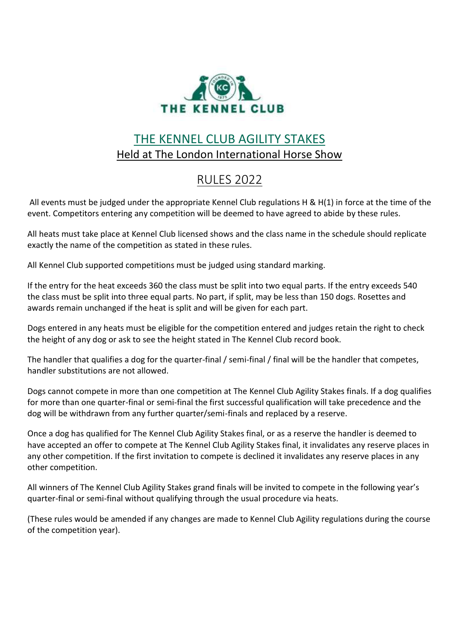

# THE KENNEL CLUB AGILITY STAKES Held at The London International Horse Show

# RULES 2022

All events must be judged under the appropriate Kennel Club regulations H & H(1) in force at the time of the event. Competitors entering any competition will be deemed to have agreed to abide by these rules.

All heats must take place at Kennel Club licensed shows and the class name in the schedule should replicate exactly the name of the competition as stated in these rules.

All Kennel Club supported competitions must be judged using standard marking.

If the entry for the heat exceeds 360 the class must be split into two equal parts. If the entry exceeds 540 the class must be split into three equal parts. No part, if split, may be less than 150 dogs. Rosettes and awards remain unchanged if the heat is split and will be given for each part.

Dogs entered in any heats must be eligible for the competition entered and judges retain the right to check the height of any dog or ask to see the height stated in The Kennel Club record book.

The handler that qualifies a dog for the quarter-final / semi-final / final will be the handler that competes, handler substitutions are not allowed.

Dogs cannot compete in more than one competition at The Kennel Club Agility Stakes finals. If a dog qualifies for more than one quarter-final or semi-final the first successful qualification will take precedence and the dog will be withdrawn from any further quarter/semi-finals and replaced by a reserve.

Once a dog has qualified for The Kennel Club Agility Stakes final, or as a reserve the handler is deemed to have accepted an offer to compete at The Kennel Club Agility Stakes final, it invalidates any reserve places in any other competition. If the first invitation to compete is declined it invalidates any reserve places in any other competition.

All winners of The Kennel Club Agility Stakes grand finals will be invited to compete in the following year's quarter-final or semi-final without qualifying through the usual procedure via heats.

(These rules would be amended if any changes are made to Kennel Club Agility regulations during the course of the competition year).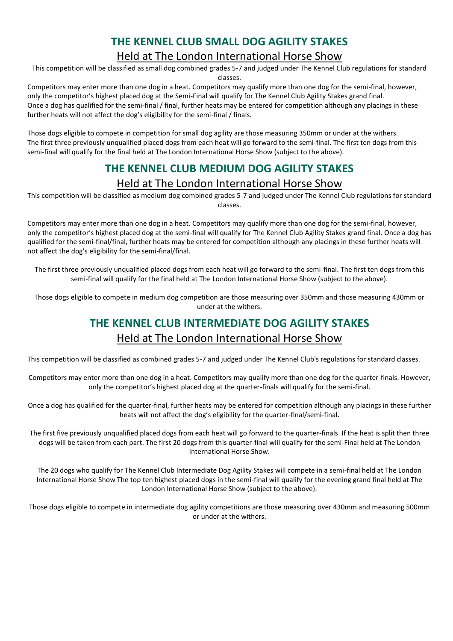## **THE KENNEL CLUB SMALL DOG AGILITY STAKES** Held at The London International Horse Show

This competition will be classified as small dog combined grades 5-7 and judged under The Kennel Club regulations for standard classes.

Competitors may enter more than one dog in a heat. Competitors may qualify more than one dog for the semi-final, however, only the competitor's highest placed dog at the Semi-Final will qualify for The Kennel Club Agility Stakes grand final. Once a dog has qualified for the semi-final / final, further heats may be entered for competition although any placings in these further heats will not affect the dog's eligibility for the semi-final / finals.

Those dogs eligible to compete in competition for small dog agility are those measuring 350mm or under at the withers. The first three previously unqualified placed dogs from each heat will go forward to the semi-final. The first ten dogs from this semi-final will qualify for the final held at The London International Horse Show (subject to the above).

## **THE KENNEL CLUB MEDIUM DOG AGILITY STAKES** Held at The London International Horse Show

This competition will be classified as medium dog combined grades 5-7 and judged under The Kennel Club regulations for standard classes.

Competitors may enter more than one dog in a heat. Competitors may qualify more than one dog for the semi-final, however, only the competitor's highest placed dog at the semi-final will qualify for The Kennel Club Agility Stakes grand final. Once a dog has qualified for the semi-final/final, further heats may be entered for competition although any placings in these further heats will not affect the dog's eligibility for the semi-final/final.

The first three previously unqualified placed dogs from each heat will go forward to the semi-final. The first ten dogs from this semi-final will qualify for the final held at The London International Horse Show (subject to the above).

Those dogs eligible to compete in medium dog competition are those measuring over 350mm and those measuring 430mm or under at the withers.

# **THE KENNEL CLUB INTERMEDIATE DOG AGILITY STAKES** Held at The London International Horse Show

This competition will be classified as combined grades 5-7 and judged under The Kennel Club's regulations for standard classes.

Competitors may enter more than one dog in a heat. Competitors may qualify more than one dog for the quarter-finals. However, only the competitor's highest placed dog at the quarter-finals will qualify for the semi-final.

Once a dog has qualified for the quarter-final, further heats may be entered for competition although any placings in these further heats will not affect the dog's eligibility for the quarter-final/semi-final.

The first five previously unqualified placed dogs from each heat will go forward to the quarter-finals. If the heat is split then three dogs will be taken from each part. The first 20 dogs from this quarter-final will qualify for the semi-Final held at The London International Horse Show.

The 20 dogs who qualify for The Kennel Club Intermediate Dog Agility Stakes will compete in a semi-final held at The London International Horse Show The top ten highest placed dogs in the semi-final will qualify for the evening grand final held at The London International Horse Show (subject to the above).

Those dogs eligible to compete in intermediate dog agility competitions are those measuring over 430mm and measuring 500mm or under at the withers.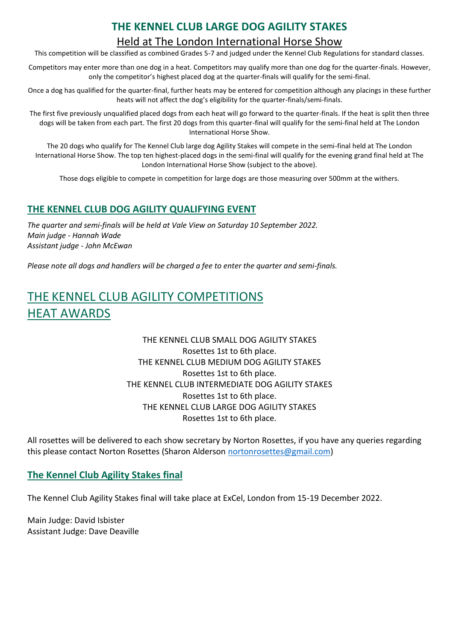## **THE KENNEL CLUB LARGE DOG AGILITY STAKES**

## Held at The London International Horse Show

This competition will be classified as combined Grades 5-7 and judged under the Kennel Club Regulations for standard classes.

Competitors may enter more than one dog in a heat. Competitors may qualify more than one dog for the quarter-finals. However, only the competitor's highest placed dog at the quarter-finals will qualify for the semi-final.

Once a dog has qualified for the quarter-final, further heats may be entered for competition although any placings in these further heats will not affect the dog's eligibility for the quarter-finals/semi-finals.

The first five previously unqualified placed dogs from each heat will go forward to the quarter-finals. If the heat is split then three dogs will be taken from each part. The first 20 dogs from this quarter-final will qualify for the semi-final held at The London International Horse Show.

The 20 dogs who qualify for The Kennel Club large dog Agility Stakes will compete in the semi-final held at The London International Horse Show. The top ten highest-placed dogs in the semi-final will qualify for the evening grand final held at The London International Horse Show (subject to the above).

Those dogs eligible to compete in competition for large dogs are those measuring over 500mm at the withers.

## **THE KENNEL CLUB DOG AGILITY QUALIFYING EVENT**

*The quarter and semi-finals will be held at Vale View on Saturday 10 September 2022. Main judge - Hannah Wade Assistant judge - John McEwan*

*Please note all dogs and handlers will be charged a fee to enter the quarter and semi-finals.*

## THE KENNEL CLUB AGILITY COMPETITIONS HEAT AWARDS

## THE KENNEL CLUB SMALL DOG AGILITY STAKES Rosettes 1st to 6th place. THE KENNEL CLUB MEDIUM DOG AGILITY STAKES Rosettes 1st to 6th place. THE KENNEL CLUB INTERMEDIATE DOG AGILITY STAKES Rosettes 1st to 6th place. THE KENNEL CLUB LARGE DOG AGILITY STAKES Rosettes 1st to 6th place.

All rosettes will be delivered to each show secretary by Norton Rosettes, if you have any queries regarding this please contact Norton Rosettes (Sharon Alderson [nortonrosettes@gmail.com\)](mailto:nortonrosettes@gmail.com)

## **The Kennel Club Agility Stakes final**

The Kennel Club Agility Stakes final will take place at ExCel, London from 15-19 December 2022.

Main Judge: David Isbister Assistant Judge: Dave Deaville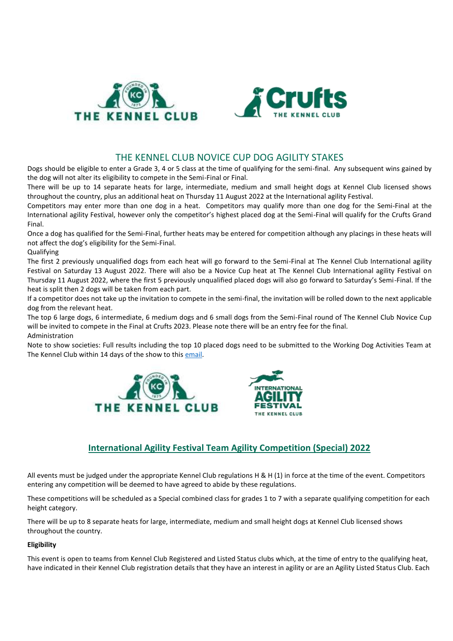



## THE KENNEL CLUB NOVICE CUP DOG AGILITY STAKES

Dogs should be eligible to enter a Grade 3, 4 or 5 class at the time of qualifying for the semi-final. Any subsequent wins gained by the dog will not alter its eligibility to compete in the Semi-Final or Final.

There will be up to 14 separate heats for large, intermediate, medium and small height dogs at Kennel Club licensed shows throughout the country, plus an additional heat on Thursday 11 August 2022 at the International agility Festival.

Competitors may enter more than one dog in a heat. Competitors may qualify more than one dog for the Semi-Final at the International agility Festival, however only the competitor's highest placed dog at the Semi-Final will qualify for the Crufts Grand Final.

Once a dog has qualified for the Semi-Final, further heats may be entered for competition although any placings in these heats will not affect the dog's eligibility for the Semi-Final.

Qualifying

The first 2 previously unqualified dogs from each heat will go forward to the Semi-Final at The Kennel Club International agility Festival on Saturday 13 August 2022. There will also be a Novice Cup heat at The Kennel Club International agility Festival on Thursday 11 August 2022, where the first 5 previously unqualified placed dogs will also go forward to Saturday's Semi-Final. If the heat is split then 2 dogs will be taken from each part.

If a competitor does not take up the invitation to compete in the semi-final, the invitation will be rolled down to the next applicable dog from the relevant heat.

The top 6 large dogs, 6 intermediate, 6 medium dogs and 6 small dogs from the Semi-Final round of The Kennel Club Novice Cup will be invited to compete in the Final at Crufts 2023. Please note there will be an entry fee for the final. Administration

Note to show societies: Full results including the top 10 placed dogs need to be submitted to the Working Dog Activities Team at The Kennel Club within 14 days of the show to this [email.](http://agility@thekennelclub.org.uk)





## **International Agility Festival Team Agility Competition (Special) 2022**

All events must be judged under the appropriate Kennel Club regulations H & H (1) in force at the time of the event. Competitors entering any competition will be deemed to have agreed to abide by these regulations.

These competitions will be scheduled as a Special combined class for grades 1 to 7 with a separate qualifying competition for each height category.

There will be up to 8 separate heats for large, intermediate, medium and small height dogs at Kennel Club licensed shows throughout the country.

#### **Eligibility**

This event is open to teams from Kennel Club Registered and Listed Status clubs which, at the time of entry to the qualifying heat, have indicated in their Kennel Club registration details that they have an interest in agility or are an Agility Listed Status Club. Each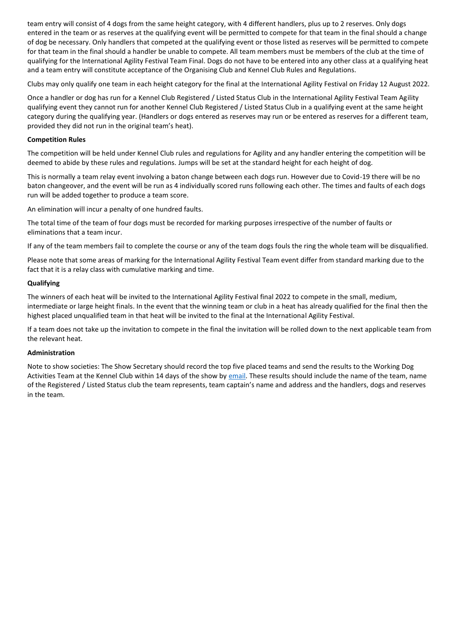team entry will consist of 4 dogs from the same height category, with 4 different handlers, plus up to 2 reserves. Only dogs entered in the team or as reserves at the qualifying event will be permitted to compete for that team in the final should a change of dog be necessary. Only handlers that competed at the qualifying event or those listed as reserves will be permitted to compete for that team in the final should a handler be unable to compete. All team members must be members of the club at the time of qualifying for the International Agility Festival Team Final. Dogs do not have to be entered into any other class at a qualifying heat and a team entry will constitute acceptance of the Organising Club and Kennel Club Rules and Regulations.

Clubs may only qualify one team in each height category for the final at the International Agility Festival on Friday 12 August 2022.

Once a handler or dog has run for a Kennel Club Registered / Listed Status Club in the International Agility Festival Team Agility qualifying event they cannot run for another Kennel Club Registered / Listed Status Club in a qualifying event at the same height category during the qualifying year. (Handlers or dogs entered as reserves may run or be entered as reserves for a different team, provided they did not run in the original team's heat).

#### **Competition Rules**

The competition will be held under Kennel Club rules and regulations for Agility and any handler entering the competition will be deemed to abide by these rules and regulations. Jumps will be set at the standard height for each height of dog.

This is normally a team relay event involving a baton change between each dogs run. However due to Covid-19 there will be no baton changeover, and the event will be run as 4 individually scored runs following each other. The times and faults of each dogs run will be added together to produce a team score.

An elimination will incur a penalty of one hundred faults.

The total time of the team of four dogs must be recorded for marking purposes irrespective of the number of faults or eliminations that a team incur.

If any of the team members fail to complete the course or any of the team dogs fouls the ring the whole team will be disqualified.

Please note that some areas of marking for the International Agility Festival Team event differ from standard marking due to the fact that it is a relay class with cumulative marking and time.

#### **Qualifying**

The winners of each heat will be invited to the International Agility Festival final 2022 to compete in the small, medium, intermediate or large height finals. In the event that the winning team or club in a heat has already qualified for the final then the highest placed unqualified team in that heat will be invited to the final at the International Agility Festival.

If a team does not take up the invitation to compete in the final the invitation will be rolled down to the next applicable team from the relevant heat.

#### **Administration**

Note to show societies: The Show Secretary should record the top five placed teams and send the results to the Working Dog Activities Team at the Kennel Club within 14 days of the show by [email.](http://agility@thekennelclub.org.uk) These results should include the name of the team, name of the Registered / Listed Status club the team represents, team captain's name and address and the handlers, dogs and reserves in the team.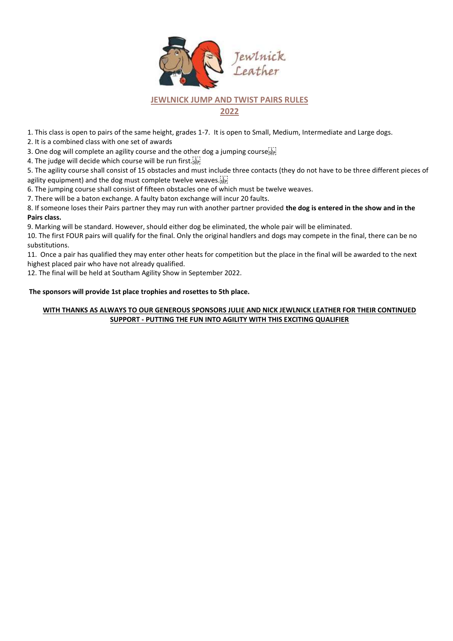

## **JEWLNICK JUMP AND TWIST PAIRS RULES**

**2022**

1. This class is open to pairs of the same height, grades 1-7. It is open to Small, Medium, Intermediate and Large dogs.

2. It is a combined class with one set of awards

3. One dog will complete an agility course and the other dog a jumping course

4. The judge will decide which course will be run first.

5. The agility course shall consist of 15 obstacles and must include three contacts (they do not have to be three different pieces of agility equipment) and the dog must complete twelve weaves.

6. The jumping course shall consist of fifteen obstacles one of which must be twelve weaves.

7. There will be a baton exchange. A faulty baton exchange will incur 20 faults.

8. If someone loses their Pairs partner they may run with another partner provided **the dog is entered in the show and in the Pairs class.**

9. Marking will be standard. However, should either dog be eliminated, the whole pair will be eliminated.

10. The first FOUR pairs will qualify for the final. Only the original handlers and dogs may compete in the final, there can be no substitutions.

11. Once a pair has qualified they may enter other heats for competition but the place in the final will be awarded to the next highest placed pair who have not already qualified.

12. The final will be held at Southam Agility Show in September 2022.

#### **The sponsors will provide 1st place trophies and rosettes to 5th place.**

#### **WITH THANKS AS ALWAYS TO OUR GENEROUS SPONSORS JULIE AND NICK JEWLNICK LEATHER FOR THEIR CONTINUED SUPPORT - PUTTING THE FUN INTO AGILITY WITH THIS EXCITING QUALIFIER**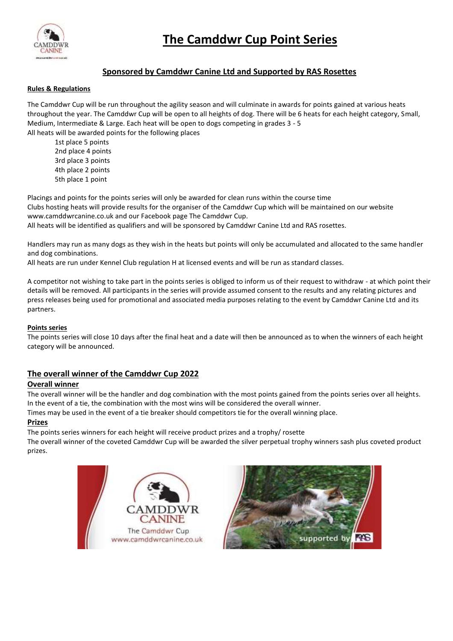

## **Sponsored by Camddwr Canine Ltd and Supported by RAS Rosettes**

#### **Rules & Regulations**

The Camddwr Cup will be run throughout the agility season and will culminate in awards for points gained at various heats throughout the year. The Camddwr Cup will be open to all heights of dog. There will be 6 heats for each height category, Small, Medium, Intermediate & Large. Each heat will be open to dogs competing in grades 3 - 5 All heats will be awarded points for the following places

1st place 5 points 2nd place 4 points 3rd place 3 points 4th place 2 points 5th place 1 point

Placings and points for the points series will only be awarded for clean runs within the course time Clubs hosting heats will provide results for the organiser of the Camddwr Cup which will be maintained on our website www.camddwrcanine.co.uk and our Facebook page The Camddwr Cup. All heats will be identified as qualifiers and will be sponsored by Camddwr Canine Ltd and RAS rosettes.

Handlers may run as many dogs as they wish in the heats but points will only be accumulated and allocated to the same handler and dog combinations.

All heats are run under Kennel Club regulation H at licensed events and will be run as standard classes.

A competitor not wishing to take part in the points series is obliged to inform us of their request to withdraw - at which point their details will be removed. All participants in the series will provide assumed consent to the results and any relating pictures and press releases being used for promotional and associated media purposes relating to the event by Camddwr Canine Ltd and its partners.

#### **Points series**

The points series will close 10 days after the final heat and a date will then be announced as to when the winners of each height category will be announced.

## **The overall winner of the Camddwr Cup 2022**

### **Overall winner**

The overall winner will be the handler and dog combination with the most points gained from the points series over all heights. In the event of a tie, the combination with the most wins will be considered the overall winner.

Times may be used in the event of a tie breaker should competitors tie for the overall winning place.

#### **Prizes**

The points series winners for each height will receive product prizes and a trophy/ rosette The overall winner of the coveted Camddwr Cup will be awarded the silver perpetual trophy winners sash plus coveted product prizes.



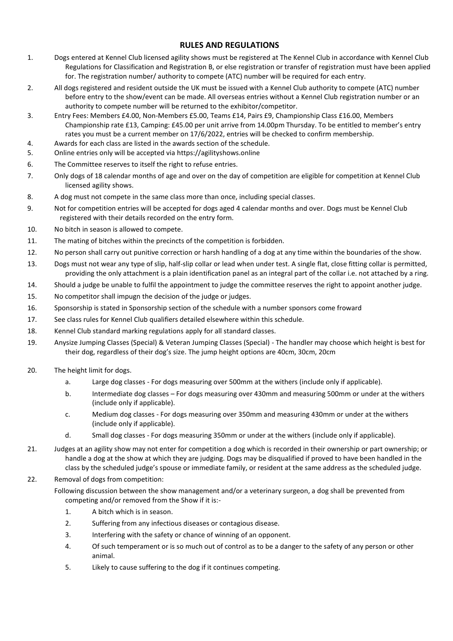## **RULES AND REGULATIONS**

- 1. Dogs entered at Kennel Club licensed agility shows must be registered at The Kennel Club in accordance with Kennel Club Regulations for Classification and Registration B, or else registration or transfer of registration must have been applied for. The registration number/ authority to compete (ATC) number will be required for each entry.
- 2. All dogs registered and resident outside the UK must be issued with a Kennel Club authority to compete (ATC) number before entry to the show/event can be made. All overseas entries without a Kennel Club registration number or an authority to compete number will be returned to the exhibitor/competitor.
- 3. Entry Fees: Members £4.00, Non-Members £5.00, Teams £14, Pairs £9, Championship Class £16.00, Members Championship rate £13, Camping: £45.00 per unit arrive from 14.00pm Thursday. To be entitled to member's entry rates you must be a current member on 17/6/2022, entries will be checked to confirm membership.
- 4. Awards for each class are listed in the awards section of the schedule.
- 5. Online entries only will be accepted via https://agilityshows.online
- 6. The Committee reserves to itself the right to refuse entries.
- 7. Only dogs of 18 calendar months of age and over on the day of competition are eligible for competition at Kennel Club licensed agility shows.
- 8. A dog must not compete in the same class more than once, including special classes.
- 9. Not for competition entries will be accepted for dogs aged 4 calendar months and over. Dogs must be Kennel Club registered with their details recorded on the entry form.
- 10. No bitch in season is allowed to compete.
- 11. The mating of bitches within the precincts of the competition is forbidden.
- 12. No person shall carry out punitive correction or harsh handling of a dog at any time within the boundaries of the show.
- 13. Dogs must not wear any type of slip, half-slip collar or lead when under test. A single flat, close fitting collar is permitted, providing the only attachment is a plain identification panel as an integral part of the collar i.e. not attached by a ring.
- 14. Should a judge be unable to fulfil the appointment to judge the committee reserves the right to appoint another judge.
- 15. No competitor shall impugn the decision of the judge or judges.
- 16. Sponsorship is stated in Sponsorship section of the schedule with a number sponsors come froward
- 17. See class rules for Kennel Club qualifiers detailed elsewhere within this schedule.
- 18. Kennel Club standard marking regulations apply for all standard classes.
- 19. Anysize Jumping Classes (Special) & Veteran Jumping Classes (Special) The handler may choose which height is best for their dog, regardless of their dog's size. The jump height options are 40cm, 30cm, 20cm
- 20. The height limit for dogs.
	- a. Large dog classes For dogs measuring over 500mm at the withers (include only if applicable).
	- b. Intermediate dog classes For dogs measuring over 430mm and measuring 500mm or under at the withers (include only if applicable).
	- c. Medium dog classes For dogs measuring over 350mm and measuring 430mm or under at the withers (include only if applicable).
	- d. Small dog classes For dogs measuring 350mm or under at the withers (include only if applicable).
- 21. Judges at an agility show may not enter for competition a dog which is recorded in their ownership or part ownership; or handle a dog at the show at which they are judging. Dogs may be disqualified if proved to have been handled in the class by the scheduled judge's spouse or immediate family, or resident at the same address as the scheduled judge.
- 22. Removal of dogs from competition:
	- Following discussion between the show management and/or a veterinary surgeon, a dog shall be prevented from competing and/or removed from the Show if it is:-
		- 1. A bitch which is in season.
		- 2. Suffering from any infectious diseases or contagious disease.
		- 3. Interfering with the safety or chance of winning of an opponent.
		- 4. Of such temperament or is so much out of control as to be a danger to the safety of any person or other animal.
		- 5. Likely to cause suffering to the dog if it continues competing.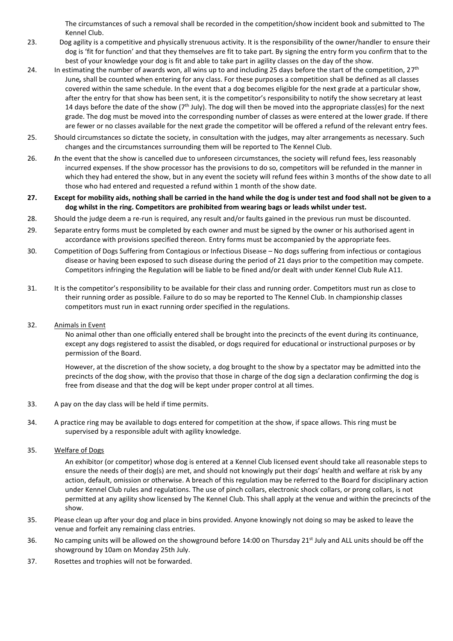The circumstances of such a removal shall be recorded in the competition/show incident book and submitted to The Kennel Club.

- 23. Dog agility is a competitive and physically strenuous activity. It is the responsibility of the owner/handler to ensure their dog is 'fit for function' and that they themselves are fit to take part. By signing the entry form you confirm that to the best of your knowledge your dog is fit and able to take part in agility classes on the day of the show.
- 24. In estimating the number of awards won, all wins up to and including 25 days before the start of the competition, 27<sup>th</sup> June*,* shall be counted when entering for any class. For these purposes a competition shall be defined as all classes covered within the same schedule. In the event that a dog becomes eligible for the next grade at a particular show, after the entry for that show has been sent, it is the competitor's responsibility to notify the show secretary at least 14 days before the date of the show  $(7<sup>th</sup>$  July). The dog will then be moved into the appropriate class(es) for the next grade. The dog must be moved into the corresponding number of classes as were entered at the lower grade. If there are fewer or no classes available for the next grade the competitor will be offered a refund of the relevant entry fees.
- 25. Should circumstances so dictate the society, in consultation with the judges, may alter arrangements as necessary. Such changes and the circumstances surrounding them will be reported to The Kennel Club.
- 26. *I*n the event that the show is cancelled due to unforeseen circumstances, the society will refund fees, less reasonably incurred expenses. If the show processor has the provisions to do so, competitors will be refunded in the manner in which they had entered the show, but in any event the society will refund fees within 3 months of the show date to all those who had entered and requested a refund within 1 month of the show date.
- **27. Except for mobility aids, nothing shall be carried in the hand while the dog is under test and food shall not be given to a dog whilst in the ring. Competitors are prohibited from wearing bags or leads whilst under test.**
- 28. Should the judge deem a re-run is required, any result and/or faults gained in the previous run must be discounted.
- 29. Separate entry forms must be completed by each owner and must be signed by the owner or his authorised agent in accordance with provisions specified thereon. Entry forms must be accompanied by the appropriate fees.
- 30. Competition of Dogs Suffering from Contagious or Infectious Disease No dogs suffering from infectious or contagious disease or having been exposed to such disease during the period of 21 days prior to the competition may compete. Competitors infringing the Regulation will be liable to be fined and/or dealt with under Kennel Club Rule A11.
- 31. It is the competitor's responsibility to be available for their class and running order. Competitors must run as close to their running order as possible. Failure to do so may be reported to The Kennel Club. In championship classes competitors must run in exact running order specified in the regulations.

#### 32. Animals in Event

No animal other than one officially entered shall be brought into the precincts of the event during its continuance, except any dogs registered to assist the disabled, or dogs required for educational or instructional purposes or by permission of the Board.

However, at the discretion of the show society, a dog brought to the show by a spectator may be admitted into the precincts of the dog show, with the proviso that those in charge of the dog sign a declaration confirming the dog is free from disease and that the dog will be kept under proper control at all times.

- 33. A pay on the day class will be held if time permits.
- 34. A practice ring may be available to dogs entered for competition at the show, if space allows. This ring must be supervised by a responsible adult with agility knowledge.
- 35. Welfare of Dogs

An exhibitor (or competitor) whose dog is entered at a Kennel Club licensed event should take all reasonable steps to ensure the needs of their dog(s) are met, and should not knowingly put their dogs' health and welfare at risk by any action, default, omission or otherwise. A breach of this regulation may be referred to the Board for disciplinary action under Kennel Club rules and regulations. The use of pinch collars, electronic shock collars, or prong collars, is not permitted at any agility show licensed by The Kennel Club. This shall apply at the venue and within the precincts of the show.

- 35. Please clean up after your dog and place in bins provided. Anyone knowingly not doing so may be asked to leave the venue and forfeit any remaining class entries.
- 36. No camping units will be allowed on the showground before 14:00 on Thursday 21<sup>st</sup> July and ALL units should be off the showground by 10am on Monday 25th July.
- 37. Rosettes and trophies will not be forwarded.